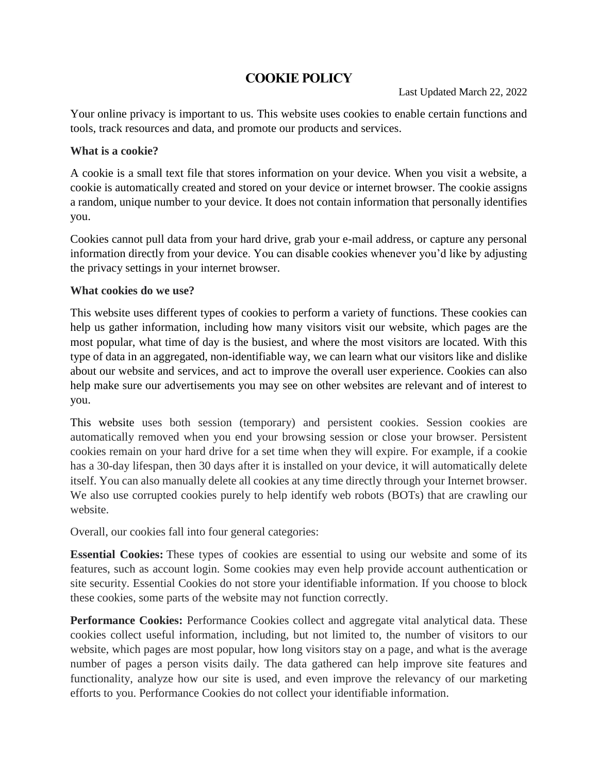# **COOKIE POLICY**

Your online privacy is important to us. This website uses cookies to enable certain functions and tools, track resources and data, and promote our products and services.

### **What is a cookie?**

A cookie is a small text file that stores information on your device. When you visit a website, a cookie is automatically created and stored on your device or internet browser. The cookie assigns a random, unique number to your device. It does not contain information that personally identifies you.

Cookies cannot pull data from your hard drive, grab your e-mail address, or capture any personal information directly from your device. You can disable cookies whenever you'd like by adjusting the privacy settings in your internet browser.

### **What cookies do we use?**

This website uses different types of cookies to perform a variety of functions. These cookies can help us gather information, including how many visitors visit our website, which pages are the most popular, what time of day is the busiest, and where the most visitors are located. With this type of data in an aggregated, non-identifiable way, we can learn what our visitors like and dislike about our website and services, and act to improve the overall user experience. Cookies can also help make sure our advertisements you may see on other websites are relevant and of interest to you.

This website uses both session (temporary) and persistent cookies. Session cookies are automatically removed when you end your browsing session or close your browser. Persistent cookies remain on your hard drive for a set time when they will expire. For example, if a cookie has a 30-day lifespan, then 30 days after it is installed on your device, it will automatically delete itself. You can also manually delete all cookies at any time directly through your Internet browser. We also use corrupted cookies purely to help identify web robots (BOTs) that are crawling our website.

Overall, our cookies fall into four general categories:

**Essential Cookies:** These types of cookies are essential to using our website and some of its features, such as account login. Some cookies may even help provide account authentication or site security. Essential Cookies do not store your identifiable information. If you choose to block these cookies, some parts of the website may not function correctly.

**Performance Cookies:** Performance Cookies collect and aggregate vital analytical data. These cookies collect useful information, including, but not limited to, the number of visitors to our website, which pages are most popular, how long visitors stay on a page, and what is the average number of pages a person visits daily. The data gathered can help improve site features and functionality, analyze how our site is used, and even improve the relevancy of our marketing efforts to you. Performance Cookies do not collect your identifiable information.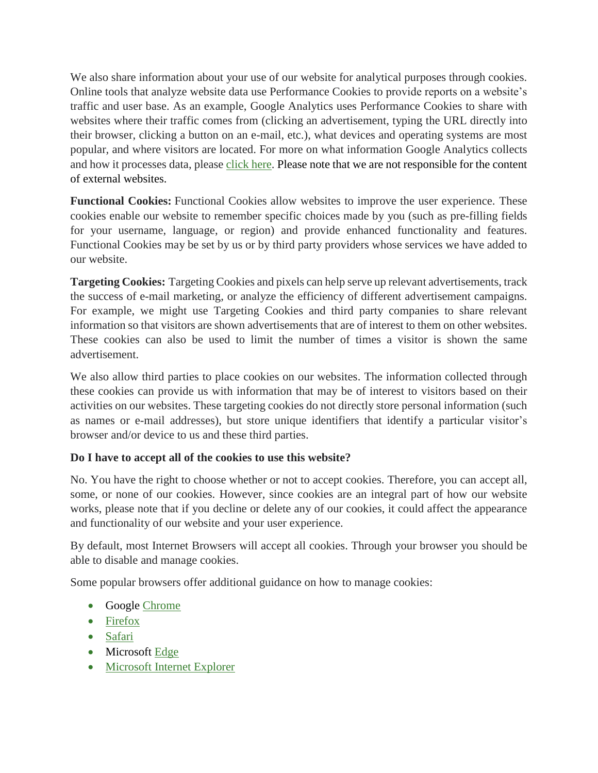We also share information about your use of our website for analytical purposes through cookies. Online tools that analyze website data use Performance Cookies to provide reports on a website's traffic and user base. As an example, Google Analytics uses Performance Cookies to share with websites where their traffic comes from (clicking an advertisement, typing the URL directly into their browser, clicking a button on an e-mail, etc.), what devices and operating systems are most popular, and where visitors are located. For more on what information Google Analytics collects and how it processes data, please [click here.](http://www.google.com/policies/privacy/partners/) Please note that we are not responsible for the content of external websites.

**Functional Cookies:** Functional Cookies allow websites to improve the user experience. These cookies enable our website to remember specific choices made by you (such as pre-filling fields for your username, language, or region) and provide enhanced functionality and features. Functional Cookies may be set by us or by third party providers whose services we have added to our website.

**Targeting Cookies:** Targeting Cookies and pixels can help serve up relevant advertisements, track the success of e-mail marketing, or analyze the efficiency of different advertisement campaigns. For example, we might use Targeting Cookies and third party companies to share relevant information so that visitors are shown advertisements that are of interest to them on other websites. These cookies can also be used to limit the number of times a visitor is shown the same advertisement.

We also allow third parties to place cookies on our websites. The information collected through these cookies can provide us with information that may be of interest to visitors based on their activities on our websites. These targeting cookies do not directly store personal information (such as names or e-mail addresses), but store unique identifiers that identify a particular visitor's browser and/or device to us and these third parties.

## **Do I have to accept all of the cookies to use this website?**

No. You have the right to choose whether or not to accept cookies. Therefore, you can accept all, some, or none of our cookies. However, since cookies are an integral part of how our website works, please note that if you decline or delete any of our cookies, it could affect the appearance and functionality of our website and your user experience.

By default, most Internet Browsers will accept all cookies. Through your browser you should be able to disable and manage cookies.

Some popular browsers offer additional guidance on how to manage cookies:

- Google [Chrome](https://support.google.com/accounts/answer/61416?co=GENIE.Platform%3DDesktop&hl=en)
- [Firefox](https://support.mozilla.org/en-US/kb/enable-and-disable-cookies-website-preferences)
- [Safari](https://support.apple.com/kb/index?q=cookies&src=globalnav_support&type=organic&page=search&locale=en_US)
- Microsoft [Edge](https://privacy.microsoft.com/en-us/windows-10-microsoft-edge-and-privacy)
- Microsoft Internet Explorer